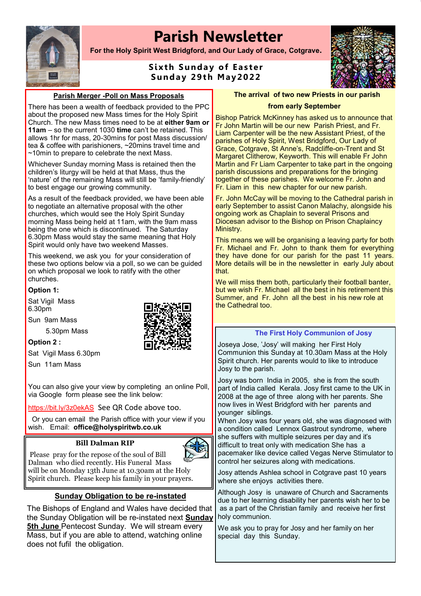# **Parish Newsletter**



**For the Holy Spirit West Bridgford, and Our Lady of Grace, Cotgrave.**

# **Sixth Sunday of Easter S und a y 29 t h May2 022**



#### **Parish Merger -Poll on Mass Proposals**

There has been a wealth of feedback provided to the PPC about the proposed new Mass times for the Holy Spirit Church. The new Mass times need to be at **either 9am or 11am** – so the current 1030 **time** can't be retained. This allows 1hr for mass, 20-30mins for post Mass discussion/ tea & coffee with parishioners, ~20mins travel time and ~10min to prepare to celebrate the next Mass.

Whichever Sunday morning Mass is retained then the children's liturgy will be held at that Mass, thus the 'nature' of the remaining Mass will still be 'family-friendly' to best engage our growing community.

As a result of the feedback provided, we have been able to negotiate an alternative proposal with the other churches, which would see the Holy Spirit Sunday morning Mass being held at 11am, with the 9am mass being the one which is discontinued. The Saturday 6.30pm Mass would stay the same meaning that Holy Spirit would only have two weekend Masses.

This weekend, we ask you for your consideration of these two options below via a poll, so we can be guided on which proposal we look to ratify with the other churches.

#### **Option 1:**

Sat Vigil Mass 6.30pm

Sun 9am Mass

5.30pm Mass

**Option 2 :** 

Sat Vigil Mass 6.30pm

Sun 11am Mass

You can also give your view by completing an online Poll, via Google form please see the link below:

<https://bit.ly/3z0ekAS> See QR Code above too.

Or you can email the Parish office with your view if you wish. Email: **office@holyspiritwb.co.uk**

#### **Bill Dalman RIP**



Please pray for the repose of the soul of Bill Dalman who died recently. His Funeral Mass will be on Monday 13th June at 10.30am at the Holy Spirit church. Please keep his family in your prayers.

# **Sunday Obligation to be re-instated**

The Bishops of England and Wales have decided that the Sunday Obligation will be re-instated next **Sunday 5th June** Pentecost Sunday. We will stream every Mass, but if you are able to attend, watching online does not fufil the obligation.

**The arrival of two new Priests in our parish** 

#### **from early September**

Bishop Patrick McKinney has asked us to announce that Fr John Martin will be our new Parish Priest, and Fr. Liam Carpenter will be the new Assistant Priest, of the parishes of Holy Spirit, West Bridgford, Our Lady of Grace, Cotgrave, St Anne's, Radcliffe-on-Trent and St Margaret Clitherow, Keyworth. This will enable Fr John Martin and Fr Liam Carpenter to take part in the ongoing parish discussions and preparations for the bringing together of these parishes. We welcome Fr. John and Fr. Liam in this new chapter for our new parish.

Fr. John McCay will be moving to the Cathedral parish in early September to assist Canon Malachy, alongside his ongoing work as Chaplain to several Prisons and Diocesan advisor to the Bishop on Prison Chaplaincy Ministry.

This means we will be organising a leaving party for both Fr. Michael and Fr. John to thank them for everything they have done for our parish for the past 11 years. More details will be in the newsletter in early July about that.

We will miss them both, particularly their football banter, but we wish Fr. Michael all the best in his retirement this Summer, and Fr. John all the best in his new role at the Cathedral too.

#### **The First Holy Communion of Josy**

Joseya Jose, 'Josy' will making her First Holy Communion this Sunday at 10.30am Mass at the Holy Spirit church. Her parents would to like to introduce Josy to the parish.

Josy was born India in 2005, she is from the south part of India called Kerala. Josy first came to the UK in 2008 at the age of three along with her parents. She now lives in West Bridgford with her parents and younger siblings.

When Josy was four years old, she was diagnosed with a condition called Lennox Gastrout syndrome, where she suffers with multiple seizures per day and it's difficult to treat only with medication She has a pacemaker like device called Vegas Nerve Stimulator to control her seizures along with medications.

Josy attends Ashlea school in Cotgrave past 10 years where she enjoys activities there.

Although Josy is unaware of Church and Sacraments due to her learning disability her parents wish her to be as a part of the Christian family and receive her first holy communion.

We ask you to pray for Josy and her family on her special day this Sunday.

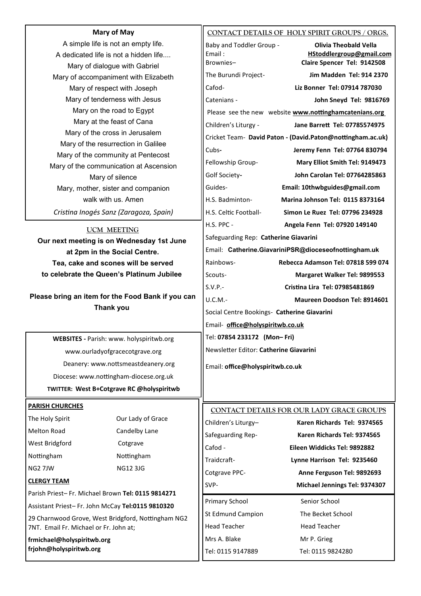| <b>Mary of May</b>                                                        |                                                                                  | CONTACT DETAILS OF HOLY SPIRIT GROUPS / ORGS.        |                                                            |
|---------------------------------------------------------------------------|----------------------------------------------------------------------------------|------------------------------------------------------|------------------------------------------------------------|
| A simple life is not an empty life.                                       |                                                                                  | Baby and Toddler Group -                             | <b>Olivia Theobald Vella</b>                               |
| A dedicated life is not a hidden life                                     |                                                                                  | Email:                                               | HStoddlergroup@gmail.com                                   |
| Mary of dialogue with Gabriel                                             |                                                                                  | Brownies-                                            | Claire Spencer Tel: 9142508                                |
|                                                                           | Mary of accompaniment with Elizabeth                                             | The Burundi Project-                                 | Jim Madden Tel: 914 2370                                   |
|                                                                           | Mary of respect with Joseph                                                      | Cafod-                                               | Liz Bonner Tel: 07914 787030                               |
| Mary of tenderness with Jesus                                             |                                                                                  | Catenians -                                          | John Sneyd Tel: 9816769                                    |
| Mary on the road to Egypt                                                 |                                                                                  |                                                      | Please see the new website www.nottinghamcatenians.org     |
| Mary at the feast of Cana                                                 |                                                                                  | Children's Liturgy -                                 | Jane Barrett Tel: 07785574975                              |
| Mary of the cross in Jerusalem                                            |                                                                                  |                                                      | Cricket Team- David Paton - (David.Paton@nottingham.ac.uk) |
| Mary of the resurrection in Galilee<br>Mary of the community at Pentecost |                                                                                  | Cubs-                                                | Jeremy Fenn Tel: 07764 830794                              |
| Mary of the communication at Ascension                                    |                                                                                  | Fellowship Group-                                    | Mary Elliot Smith Tel: 9149473                             |
| Mary of silence                                                           |                                                                                  | Golf Society-                                        | John Carolan Tel: 07764285863                              |
|                                                                           | Mary, mother, sister and companion                                               | Guides-                                              | Email: 10thwbguides@gmail.com                              |
|                                                                           | walk with us. Amen                                                               | H.S. Badminton-                                      | <b>Marina Johnson Tel: 0115 8373164</b>                    |
|                                                                           | Cristina Inogés Sanz (Zaragoza, Spain)                                           | H.S. Celtic Football-                                | Simon Le Ruez Tel: 07796 234928                            |
|                                                                           |                                                                                  | H.S. PPC -                                           | Angela Fenn Tel: 07920 149140                              |
| <b>UCM MEETING</b>                                                        |                                                                                  | Safeguarding Rep: Catherine Giavarini                |                                                            |
| Our next meeting is on Wednesday 1st June                                 |                                                                                  | Email: Catherine.GiavariniPSR@dioceseofnottingham.uk |                                                            |
| at 2pm in the Social Centre.                                              |                                                                                  | Rainbows-                                            | Rebecca Adamson Tel: 07818 599 074                         |
|                                                                           | Tea, cake and scones will be served<br>to celebrate the Queen's Platinum Jubilee | Scouts-                                              |                                                            |
|                                                                           |                                                                                  |                                                      | Margaret Walker Tel: 9899553                               |
| Please bring an item for the Food Bank if you can                         |                                                                                  | $S.V.P. -$                                           | Cristina Lira Tel: 07985481869                             |
|                                                                           | <b>Thank you</b>                                                                 | U.C.M.-                                              | Maureen Doodson Tel: 8914601                               |
|                                                                           |                                                                                  | Social Centre Bookings- Catherine Giavarini          |                                                            |
|                                                                           |                                                                                  | Email- office@holyspiritwb.co.uk                     |                                                            |
|                                                                           | WEBSITES - Parish: www. holyspiritwb.org                                         | Tel: 07854 233172 (Mon-Fri)                          |                                                            |
| www.ourladyofgracecotgrave.org                                            |                                                                                  | Newsletter Editor: Catherine Giavarini               |                                                            |
| Deanery: www.nottsmeastdeanery.org                                        |                                                                                  | Email: office@holyspiritwb.co.uk                     |                                                            |
| Diocese: www.nottingham-diocese.org.uk                                    |                                                                                  |                                                      |                                                            |
|                                                                           | TWITTER: West B+Cotgrave RC @holyspiritwb                                        |                                                      |                                                            |
|                                                                           |                                                                                  |                                                      |                                                            |
| <b>PARISH CHURCHES</b>                                                    |                                                                                  |                                                      | CONTACT DETAILS FOR OUR LADY GRACE GROUPS                  |
| The Holy Spirit                                                           | Our Lady of Grace                                                                | Children's Liturgy-                                  | Karen Richards Tel: 9374565                                |
| Melton Road                                                               | Candelby Lane                                                                    | Safeguarding Rep-                                    | Karen Richards Tel: 9374565                                |
| West Bridgford                                                            | Cotgrave                                                                         | Cafod -                                              | Eileen Widdicks Tel: 9892882                               |
| Nottingham                                                                | Nottingham                                                                       | Traidcraft-                                          | Lynne Harrison Tel: 9235460                                |
| NG2 7JW                                                                   | <b>NG12 3JG</b>                                                                  | Cotgrave PPC-                                        | Anne Ferguson Tel: 9892693                                 |
| <b>CLERGY TEAM</b>                                                        |                                                                                  | SVP-                                                 | Michael Jennings Tel: 9374307                              |
| Parish Priest-Fr. Michael Brown Tel: 0115 9814271                         |                                                                                  |                                                      |                                                            |
| Assistant Priest-Fr. John McCay Tel:0115 9810320                          |                                                                                  | Primary School                                       | Senior School                                              |
| 29 Charnwood Grove, West Bridgford, Nottingham NG2                        |                                                                                  | <b>St Edmund Campion</b>                             | The Becket School                                          |
| 7NT. Email Fr. Michael or Fr. John at;                                    |                                                                                  | <b>Head Teacher</b>                                  | <b>Head Teacher</b>                                        |
| frmichael@holyspiritwb.org                                                |                                                                                  | Mrs A. Blake                                         | Mr P. Grieg                                                |
| frjohn@holyspiritwb.org                                                   |                                                                                  | Tel: 0115 9147889                                    | Tel: 0115 9824280                                          |
|                                                                           |                                                                                  |                                                      |                                                            |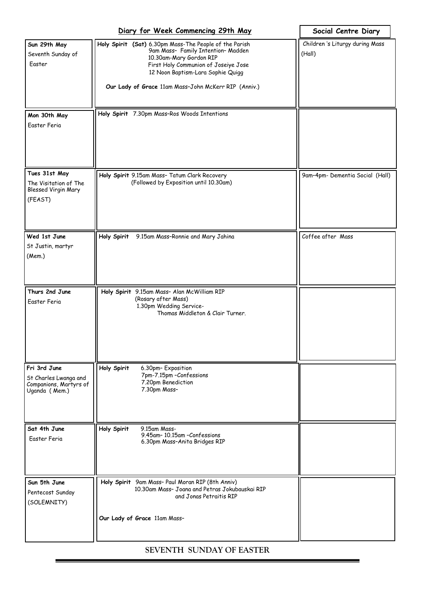|                                                                                  | Diary for Week Commencing 29th May                                                                                                                                                                                                                           | Social Centre Diary                       |
|----------------------------------------------------------------------------------|--------------------------------------------------------------------------------------------------------------------------------------------------------------------------------------------------------------------------------------------------------------|-------------------------------------------|
| Sun 29th May<br>Seventh Sunday of<br>Easter                                      | Holy Spirit (Sat) 6.30pm Mass-The People of the Parish<br>9am Mass- Family Intention- Madden<br>10.30am-Mary Gordon RIP<br>First Holy Communion of Joseiye Jose<br>12 Noon Baptism-Lara Sophie Quigg<br>Our Lady of Grace 11am Mass-John McKerr RIP (Anniv.) | Children 's Liturgy during Mass<br>(Hall) |
| Mon 30th May<br>Easter Feria                                                     | Holy Spirit 7.30pm Mass-Ros Woods Intentions                                                                                                                                                                                                                 |                                           |
| Tues 31st May<br>The Visitation of The<br>Blessed Virgin Mary<br>(FEAST)         | Holy Spirit 9.15am Mass- Tatum Clark Recovery<br>(Followed by Exposition until 10.30am)                                                                                                                                                                      | 9am-4pm- Dementia Social (Hall)           |
| Wed 1st June<br>St Justin, martyr<br>(Mem.)                                      | Holy Spirit<br>9.15am Mass-Ronnie and Mary Jahina                                                                                                                                                                                                            | Coffee after Mass                         |
| Thurs 2nd June<br>Easter Feria                                                   | Holy Spirit 9.15am Mass- Alan McWilliam RIP<br>(Rosary after Mass)<br>1.30pm Wedding Service-<br>Thomas Middleton & Clair Turner.                                                                                                                            |                                           |
| Fri 3rd June<br>St Charles Lwanga and<br>Companions, Martyrs of<br>Uganda (Mem.) | Holy Spirit<br>6.30pm-Exposition<br>7pm-7.15pm -Confessions<br>7.20pm Benediction<br>7.30pm Mass-                                                                                                                                                            |                                           |
| Sat 4th June<br>Easter Feria                                                     | Holy Spirit<br>9.15am Mass-<br>9.45am-10.15am-Confessions<br>6.30pm Mass-Anita Bridges RIP                                                                                                                                                                   |                                           |
| Sun 5th June<br>Pentecost Sunday<br>(SOLEMNITY)                                  | Holy Spirit 9am Mass- Paul Moran RIP (8th Anniv)<br>10.30am Mass- Joana and Petras Jokubauskai RIP<br>and Jonas Petraitis RIP<br>Our Lady of Grace 11am Mass-                                                                                                |                                           |

# **SEVENTH SUNDAY OF EASTER**